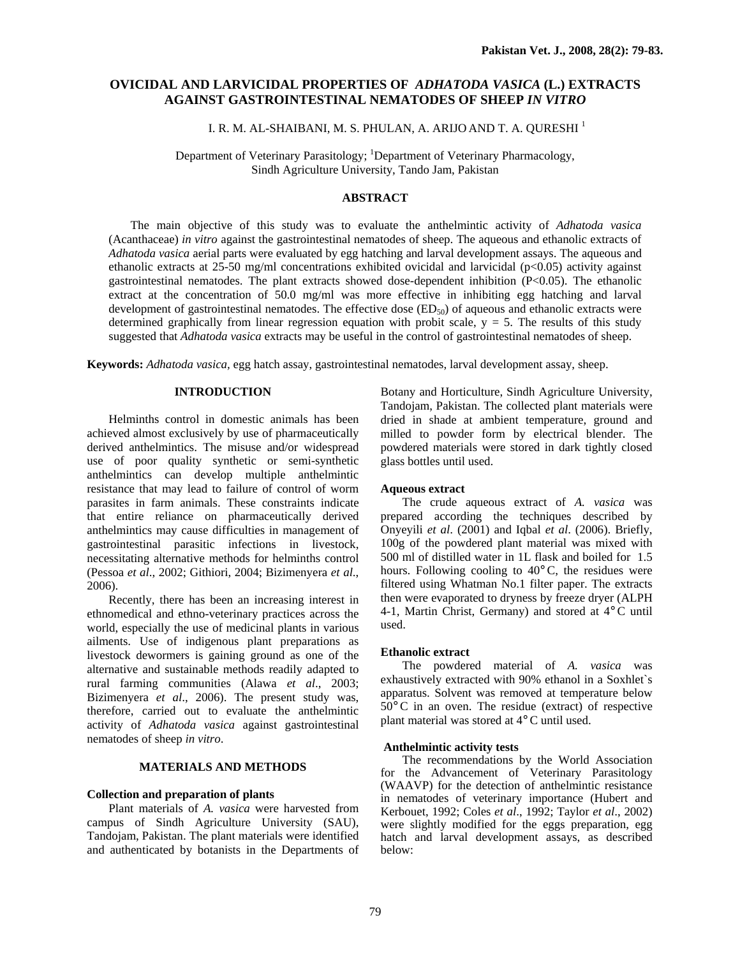# **OVICIDAL AND LARVICIDAL PROPERTIES OF** *ADHATODA VASICA* **(L.) EXTRACTS AGAINST GASTROINTESTINAL NEMATODES OF SHEEP** *IN VITRO*

I. R. M. AL-SHAIBANI, M. S. PHULAN, A. ARIJO AND T. A. QURESHI <sup>1</sup>

Department of Veterinary Parasitology; <sup>1</sup>Department of Veterinary Pharmacology, Sindh Agriculture University, Tando Jam, Pakistan

# **ABSTRACT**

The main objective of this study was to evaluate the anthelmintic activity of *Adhatoda vasica* (Acanthaceae) *in vitro* against the gastrointestinal nematodes of sheep. The aqueous and ethanolic extracts of *Adhatoda vasica* aerial parts were evaluated by egg hatching and larval development assays. The aqueous and ethanolic extracts at  $25{\text -}50$  mg/ml concentrations exhibited ovicidal and larvicidal (p<0.05) activity against gastrointestinal nematodes. The plant extracts showed dose-dependent inhibition (P<0.05). The ethanolic extract at the concentration of 50.0 mg/ml was more effective in inhibiting egg hatching and larval development of gastrointestinal nematodes. The effective dose  $(ED<sub>50</sub>)$  of aqueous and ethanolic extracts were determined graphically from linear regression equation with probit scale,  $y = 5$ . The results of this study suggested that *Adhatoda vasica* extracts may be useful in the control of gastrointestinal nematodes of sheep.

**Keywords:** *Adhatoda vasica,* egg hatch assay, gastrointestinal nematodes, larval development assay, sheep.

# **INTRODUCTION**

Helminths control in domestic animals has been achieved almost exclusively by use of pharmaceutically derived anthelmintics. The misuse and/or widespread use of poor quality synthetic or semi-synthetic anthelmintics can develop multiple anthelmintic resistance that may lead to failure of control of worm parasites in farm animals. These constraints indicate that entire reliance on pharmaceutically derived anthelmintics may cause difficulties in management of gastrointestinal parasitic infections in livestock, necessitating alternative methods for helminths control (Pessoa *et al*., 2002; Githiori, 2004; Bizimenyera *et al*., 2006).

Recently, there has been an increasing interest in ethnomedical and ethno-veterinary practices across the world, especially the use of medicinal plants in various ailments. Use of indigenous plant preparations as livestock dewormers is gaining ground as one of the alternative and sustainable methods readily adapted to rural farming communities (Alawa *et al*., 2003; Bizimenyera *et al*., 2006). The present study was, therefore, carried out to evaluate the anthelmintic activity of *Adhatoda vasica* against gastrointestinal nematodes of sheep *in vitro*.

## **MATERIALS AND METHODS**

#### **Collection and preparation of plants**

Plant materials of *A. vasica* were harvested from campus of Sindh Agriculture University (SAU), Tandojam, Pakistan. The plant materials were identified and authenticated by botanists in the Departments of Botany and Horticulture, Sindh Agriculture University, Tandojam, Pakistan. The collected plant materials were dried in shade at ambient temperature, ground and milled to powder form by electrical blender. The powdered materials were stored in dark tightly closed glass bottles until used.

### **Aqueous extract**

 The crude aqueous extract of *A. vasica* was prepared according the techniques described by Onyeyili *et al*. (2001) and Iqbal *et al*. (2006). Briefly, 100g of the powdered plant material was mixed with 500 ml of distilled water in 1L flask and boiled for 1.5 hours. Following cooling to 40°C, the residues were filtered using Whatman No.1 filter paper. The extracts then were evaporated to dryness by freeze dryer (ALPH 4-1, Martin Christ, Germany) and stored at 4°C until used.

# **Ethanolic extract**

 The powdered material of *A. vasica* was exhaustively extracted with 90% ethanol in a Soxhlet`s apparatus. Solvent was removed at temperature below 50°C in an oven. The residue (extract) of respective plant material was stored at 4°C until used.

# **Anthelmintic activity tests**

 The recommendations by the World Association for the Advancement of Veterinary Parasitology (WAAVP) for the detection of anthelmintic resistance in nematodes of veterinary importance (Hubert and Kerbouet, 1992; Coles *et al*., 1992; Taylor *et al*., 2002) were slightly modified for the eggs preparation, egg hatch and larval development assays, as described below: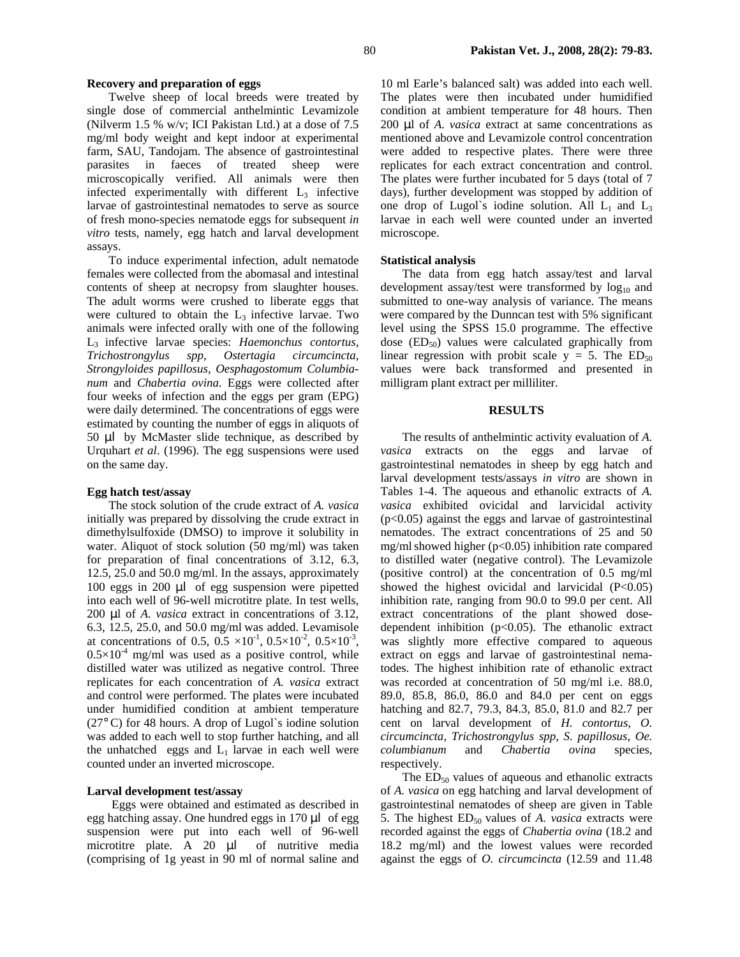### **Recovery and preparation of eggs**

Twelve sheep of local breeds were treated by single dose of commercial anthelmintic Levamizole (Nilverm 1.5 % w/v; ICI Pakistan Ltd.) at a dose of 7.5 mg/ml body weight and kept indoor at experimental farm, SAU, Tandojam. The absence of gastrointestinal parasites in faeces of treated sheep were microscopically verified. All animals were then infected experimentally with different  $L<sub>3</sub>$  infective larvae of gastrointestinal nematodes to serve as source of fresh mono-species nematode eggs for subsequent *in vitro* tests, namely, egg hatch and larval development assays.

To induce experimental infection, adult nematode females were collected from the abomasal and intestinal contents of sheep at necropsy from slaughter houses. The adult worms were crushed to liberate eggs that were cultured to obtain the  $L_3$  infective larvae. Two animals were infected orally with one of the following L3 infective larvae species: *Haemonchus contortus, Trichostrongylus spp*, *Ostertagia circumcincta*, *Strongyloides papillosus*, *Oesphagostomum Columbianum* and *Chabertia ovina.* Eggs were collected after four weeks of infection and the eggs per gram (EPG) were daily determined. The concentrations of eggs were estimated by counting the number of eggs in aliquots of 50 µl by McMaster slide technique, as described by Urquhart *et al*. (1996). The egg suspensions were used on the same day.

### **Egg hatch test/assay**

The stock solution of the crude extract of *A. vasica*  initially was prepared by dissolving the crude extract in dimethylsulfoxide (DMSO) to improve it solubility in water. Aliquot of stock solution (50 mg/ml) was taken for preparation of final concentrations of 3.12, 6.3, 12.5, 25.0 and 50.0 mg/ml. In the assays, approximately 100 eggs in 200 µl of egg suspension were pipetted into each well of 96-well microtitre plate. In test wells, 200 µl of *A. vasica* extract in concentrations of 3.12, 6.3, 12.5, 25.0, and 50.0 mg/ml was added. Levamisole at concentrations of 0.5,  $0.5 \times 10^{-1}$ ,  $0.5 \times 10^{-2}$ ,  $0.5 \times 10^{-3}$ ,  $0.5\times10^{-4}$  mg/ml was used as a positive control, while distilled water was utilized as negative control. Three replicates for each concentration of *A. vasica* extract and control were performed. The plates were incubated under humidified condition at ambient temperature (27°C) for 48 hours. A drop of Lugol`s iodine solution was added to each well to stop further hatching, and all the unhatched eggs and  $L_1$  larvae in each well were counted under an inverted microscope.

### **Larval development test/assay**

 Eggs were obtained and estimated as described in egg hatching assay. One hundred eggs in 170 µl of egg suspension were put into each well of 96-well microtitre plate. A 20 µl of nutritive media (comprising of 1g yeast in 90 ml of normal saline and

10 ml Earle's balanced salt) was added into each well. The plates were then incubated under humidified condition at ambient temperature for 48 hours. Then 200 µl of *A. vasica* extract at same concentrations as mentioned above and Levamizole control concentration were added to respective plates. There were three replicates for each extract concentration and control. The plates were further incubated for 5 days (total of 7 days), further development was stopped by addition of one drop of Lugol's iodine solution. All  $L_1$  and  $L_3$ larvae in each well were counted under an inverted microscope.

### **Statistical analysis**

 The data from egg hatch assay/test and larval development assay/test were transformed by  $log_{10}$  and submitted to one-way analysis of variance. The means were compared by the Dunncan test with 5% significant level using the SPSS 15.0 programme. The effective dose  $(ED_{50})$  values were calculated graphically from linear regression with probit scale  $y = 5$ . The  $ED_{50}$ values were back transformed and presented in milligram plant extract per milliliter.

### **RESULTS**

The results of anthelmintic activity evaluation of *A. vasica* extracts on the eggs and larvae of gastrointestinal nematodes in sheep by egg hatch and larval development tests/assays *in vitro* are shown in Tables 1-4. The aqueous and ethanolic extracts of *A. vasica* exhibited ovicidal and larvicidal activity (p<0.05) against the eggs and larvae of gastrointestinal nematodes. The extract concentrations of 25 and 50 mg/mlshowed higher (p<0.05) inhibition rate compared to distilled water (negative control). The Levamizole (positive control) at the concentration of 0.5 mg/ml showed the highest ovicidal and larvicidal (P<0.05) inhibition rate, ranging from 90.0 to 99.0 per cent. All extract concentrations of the plant showed dosedependent inhibition  $(p<0.05)$ . The ethanolic extract was slightly more effective compared to aqueous extract on eggs and larvae of gastrointestinal nematodes. The highest inhibition rate of ethanolic extract was recorded at concentration of 50 mg/ml i.e. 88.0, 89.0, 85.8, 86.0, 86.0 and 84.0 per cent on eggs hatching and 82.7, 79.3, 84.3, 85.0, 81.0 and 82.7 per cent on larval development of *H. contortus, O. circumcincta, Trichostrongylus spp, S. papillosus, Oe. columbianum* and *Chabertia ovina* species, respectively.

The  $ED_{50}$  values of aqueous and ethanolic extracts of *A. vasica* on egg hatching and larval development of gastrointestinal nematodes of sheep are given in Table 5. The highest ED<sub>50</sub> values of *A. vasica* extracts were recorded against the eggs of *Chabertia ovina* (18.2 and 18.2 mg/ml) and the lowest values were recorded against the eggs of *O. circumcincta* (12.59 and 11.48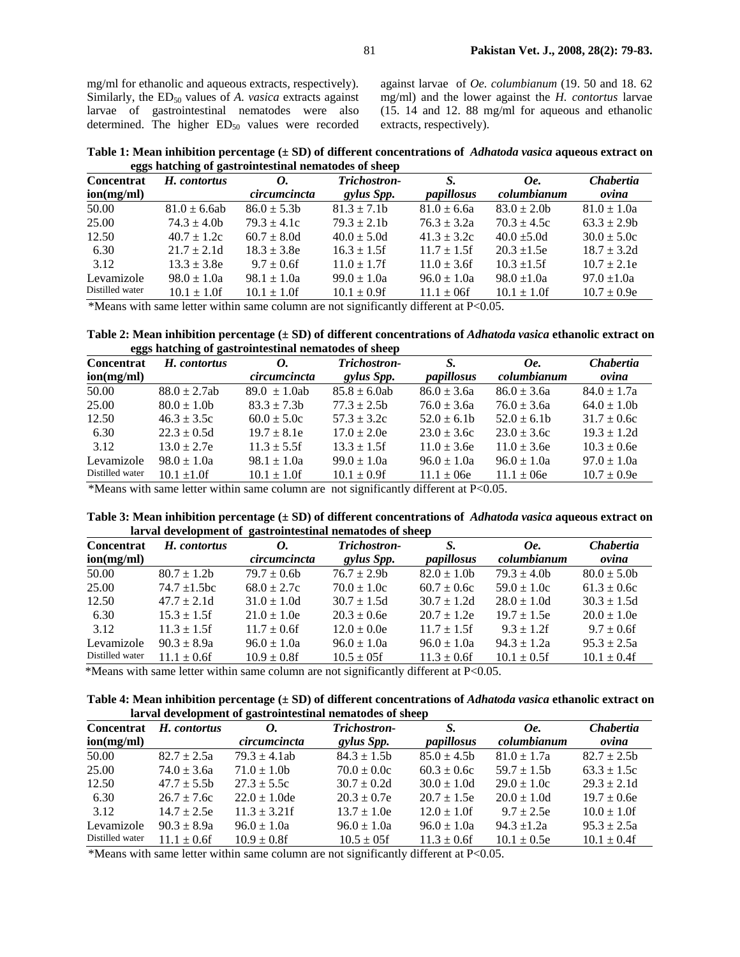mg/ml for ethanolic and aqueous extracts, respectively). Similarly, the ED<sub>50</sub> values of *A. vasica* extracts against larvae of gastrointestinal nematodes were also determined. The higher  $ED<sub>50</sub>$  values were recorded against larvae of *Oe. columbianum* (19. 50 and 18. 62 mg/ml) and the lower against the *H. contortus* larvae (15. 14 and 12. 88 mg/ml for aqueous and ethanolic extracts, respectively).

**Table 1: Mean inhibition percentage (± SD) of different concentrations of** *Adhatoda vasica* **aqueous extract on eggs hatching of gastrointestinal nematodes of sheep** 

| <b>Concentrat</b>                                                                            | H. contortus     | 0.               | Trichostron-     | S.               | Oe.              | <b>Chabertia</b> |
|----------------------------------------------------------------------------------------------|------------------|------------------|------------------|------------------|------------------|------------------|
| ion(mg/ml)                                                                                   |                  | circumcincta     | gylus Spp.       | papillosus       | columbianum      | ovina            |
| 50.00                                                                                        | $81.0 \pm 6.6ab$ | $86.0 \pm 5.3$ b | $81.3 \pm 7.1$   | $81.0 \pm 6.6a$  | $83.0 \pm 2.0$   | $81.0 \pm 1.0a$  |
| 25.00                                                                                        | $74.3 \pm 4.0$   | $79.3 \pm 4.1c$  | $79.3 \pm 2.1$   | $76.3 \pm 3.2a$  | $70.3 \pm 4.5c$  | $63.3 \pm 2.9b$  |
| 12.50                                                                                        | $40.7 \pm 1.2c$  | $60.7 \pm 8.0d$  | $40.0 \pm 5.0d$  | $41.3 \pm 3.2c$  | $40.0 \pm 5.0d$  | $30.0 \pm 5.0c$  |
| 6.30                                                                                         | $21.7 \pm 2.1d$  | $18.3 \pm 3.8$ e | $16.3 \pm 1.5$ f | $11.7 \pm 1.5$ f | $20.3 \pm 1.5e$  | $18.7 \pm 3.2d$  |
| 3.12                                                                                         | $13.3 \pm 3.8$ e | $9.7 \pm 0.6$ f  | $11.0 \pm 1.7$ f | $11.0 \pm 3.6f$  | $10.3 \pm 1.5$ f | $10.7 \pm 2.1e$  |
| Levamizole                                                                                   | $98.0 \pm 1.0a$  | $98.1 \pm 1.0a$  | $99.0 \pm 1.0a$  | $96.0 \pm 1.0a$  | $98.0 \pm 1.0a$  | $97.0 \pm 1.0a$  |
| Distilled water                                                                              | $10.1 \pm 1.0$ f | $10.1 \pm 1.0$ f | $10.1 \pm 0.9$ f | $11.1 \pm 0.6$   | $10.1 \pm 1.0$ f | $10.7 \pm 0.9e$  |
| *Magne with same letter within same column are not significantly different at $D \wedge 0.5$ |                  |                  |                  |                  |                  |                  |

\*Means with same letter within same column are not significantly different at P<0.05.

**Table 2: Mean inhibition percentage (** $\pm$  **SD) of different concentrations of** *Adhatoda vasica* **ethanolic extract on eggs hatching of gastrointestinal nematodes of sheep** 

| H. contortus     | 0.<br>circumcincta | Trichostron-<br>gylus Spp. | S.<br>papillosus | Oe.<br>columbianum | <b>Chabertia</b><br>ovina                                                                                |
|------------------|--------------------|----------------------------|------------------|--------------------|----------------------------------------------------------------------------------------------------------|
| $88.0 \pm 2.7ab$ | $89.0 \pm 1.0$ ab  | $85.8 \pm 6.0$ ab          | $86.0 \pm 3.6a$  | $86.0 \pm 3.6a$    | $84.0 \pm 1.7a$                                                                                          |
| $80.0 \pm 1.0$ b | $83.3 \pm 7.3b$    | $77.3 \pm 2.5$ b           | $76.0 \pm 3.6a$  | $76.0 \pm 3.6a$    | $64.0 \pm 1.0$                                                                                           |
| $46.3 \pm 3.5c$  | $60.0 \pm 5.0c$    | $57.3 \pm 3.2c$            | $52.0 \pm 6.1$   | $52.0 \pm 6.1$     | $31.7 \pm 0.6c$                                                                                          |
| $22.3 \pm 0.5d$  | $19.7 \pm 8.1e$    | $17.0 \pm 2.0e$            | $23.0 \pm 3.6c$  | $23.0 \pm 3.6c$    | $19.3 \pm 1.2d$                                                                                          |
| $13.0 \pm 2.7e$  | $11.3 \pm 5.5$ f   | $13.3 \pm 1.5$ f           | $11.0 \pm 3.6$ e | $11.0 \pm 3.6$ e   | $10.3 \pm 0.6e$                                                                                          |
| $98.0 \pm 1.0a$  | $98.1 \pm 1.0a$    | $99.0 \pm 1.0a$            | $96.0 \pm 1.0a$  | $96.0 \pm 1.0a$    | $97.0 \pm 1.0a$                                                                                          |
| $10.1 \pm 1.0$ f | $10.1 \pm 1.0$ f   | $10.1 \pm 0.9$ f           | $11.1 \pm 06e$   | $11.1 \pm 06e$     | $10.7 \pm 0.9e$                                                                                          |
|                  |                    |                            |                  |                    | $M_{\rm cono}$ with come letter within come column are not cignificantly different of $D \triangle 0.05$ |

\*Means with same letter within same column are not significantly different at P<0.05.

**Table 3: Mean inhibition percentage (± SD) of different concentrations of** *Adhatoda vasica* **aqueous extract on larval development of gastrointestinal nematodes of sheep** 

| <b>Concentrat</b> | H. contortus     | 0.               | Trichostron-     | S.               | Oe.              | <b>Chabertia</b> |
|-------------------|------------------|------------------|------------------|------------------|------------------|------------------|
| ion(mg/ml)        |                  | circumcincta     | gylus Spp.       | papillosus       | columbianum      | ovina            |
| 50.00             | $80.7 \pm 1.2$ b | $79.7 \pm 0.6$ b | $76.7 \pm 2.9$ b | $82.0 \pm 1.0$   | $79.3 \pm 4.0$ b | $80.0 \pm 5.0$   |
| 25.00             | 74.7 $\pm$ 1.5bc | $68.0 \pm 2.7c$  | $70.0 \pm 1.0c$  | $60.7 \pm 0.6c$  | $59.0 \pm 1.0c$  | $61.3 \pm 0.6c$  |
| 12.50             | $47.7 \pm 2.1d$  | $31.0 \pm 1.0d$  | $30.7 \pm 1.5d$  | $30.7 \pm 1.2d$  | $28.0 \pm 1.0d$  | $30.3 \pm 1.5d$  |
| 6.30              | $15.3 \pm 1.5$ f | $21.0 \pm 1.0e$  | $20.3 \pm 0.6e$  | $20.7 \pm 1.2e$  | $19.7 \pm 1.5e$  | $20.0 \pm 1.0e$  |
| 3.12              | $11.3 \pm 1.5$ f | $11.7 \pm 0.6$ f | $12.0 \pm 0.0e$  | $11.7 \pm 1.5$ f | $9.3 \pm 1.2$ f  | $9.7 \pm 0.6$ f  |
| Levamizole        | $90.3 \pm 8.9a$  | $96.0 \pm 1.0a$  | $96.0 \pm 1.0a$  | $96.0 \pm 1.0a$  | $94.3 \pm 1.2a$  | $95.3 \pm 2.5a$  |
| Distilled water   | $11.1 \pm 0.6$ f | $10.9 \pm 0.8$ f | $10.5 \pm 0.5$   | $11.3 \pm 0.6$ f | $10.1 \pm 0.5$ f | $10.1 \pm 0.4$ f |

\*Means with same letter within same column are not significantly different at P<0.05.

**Table 4: Mean inhibition percentage (± SD) of different concentrations of** *Adhatoda vasica* **ethanolic extract on larval development of gastrointestinal nematodes of sheep** 

| <b>Concentrat</b> | H. contortus     | 0.                | Trichostron-     | S.                | Oe.              | <i>Chabertia</i> |
|-------------------|------------------|-------------------|------------------|-------------------|------------------|------------------|
| ion(mg/ml)        |                  | circumcincta      | gylus Spp.       | <i>papillosus</i> | columbianum      | ovina            |
| 50.00             | $82.7 \pm 2.5a$  | $79.3 \pm 4.1$ ab | $84.3 \pm 1.5$ b | $85.0 \pm 4.5$ b  | $81.0 \pm 1.7a$  | $82.7 \pm 2.5$ b |
| 25.00             | $74.0 \pm 3.6a$  | $71.0 \pm 1.0$ b  | $70.0 \pm 0.0c$  | $60.3 \pm 0.6c$   | $59.7 \pm 1.5$ b | $63.3 \pm 1.5c$  |
| 12.50             | $47.7 \pm 5.5$ b | $27.3 \pm 5.5c$   | $30.7 \pm 0.2d$  | $30.0 \pm 1.0d$   | $29.0 \pm 1.0c$  | $29.3 \pm 2.1d$  |
| 6.30              | $26.7 \pm 7.6c$  | $22.0 \pm 1.0$ de | $20.3 \pm 0.7e$  | $20.7 \pm 1.5e$   | $20.0 \pm 1.0d$  | $19.7 \pm 0.6e$  |
| 3.12              | $14.7 \pm 2.5e$  | $11.3 \pm 3.21$ f | $13.7 \pm 1.0e$  | $12.0 \pm 1.0$ f  | $9.7 \pm 2.5e$   | $10.0 \pm 1.0$ f |
| Levamizole        | $90.3 \pm 8.9a$  | $96.0 \pm 1.0a$   | $96.0 \pm 1.0a$  | $96.0 \pm 1.0a$   | $94.3 \pm 1.2a$  | $95.3 \pm 2.5a$  |
| Distilled water   | $11.1 \pm 0.6$ f | $10.9 \pm 0.8$ f  | $10.5 \pm 0.5$   | $11.3 \pm 0.6$ f  | $10.1 \pm 0.5e$  | $10.1 \pm 0.4f$  |

\*Means with same letter within same column are not significantly different at P<0.05.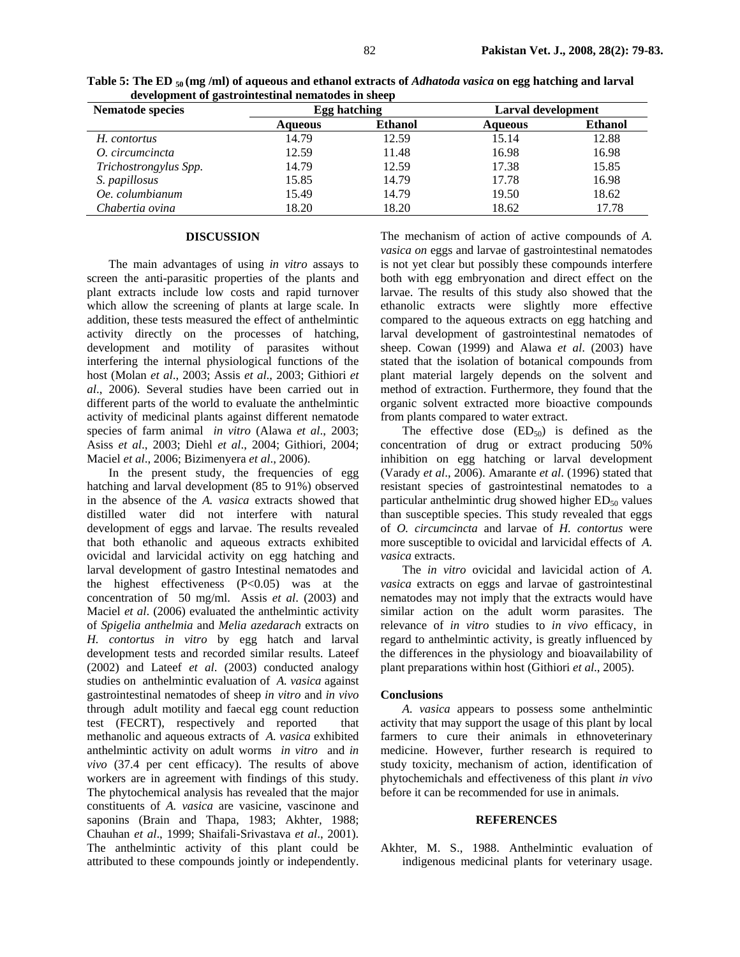| acveropment of gastromicsunal nematories in sheep |                |                |                    |                |  |  |
|---------------------------------------------------|----------------|----------------|--------------------|----------------|--|--|
| Nematode species                                  |                | Egg hatching   | Larval development |                |  |  |
|                                                   | <b>Aqueous</b> | <b>Ethanol</b> | <b>Aqueous</b>     | <b>Ethanol</b> |  |  |
| H. contortus                                      | 14.79          | 12.59          | 15.14              | 12.88          |  |  |
| O. circumcincta                                   | 12.59          | 11.48          | 16.98              | 16.98          |  |  |
| Trichostrongylus Spp.                             | 14.79          | 12.59          | 17.38              | 15.85          |  |  |
| S. papillosus                                     | 15.85          | 14.79          | 17.78              | 16.98          |  |  |
| Oe. columbianum                                   | 15.49          | 14.79          | 19.50              | 18.62          |  |  |
| Chabertia ovina                                   | 18.20          | 18.20          | 18.62              | 17.78          |  |  |

**Table 5: The ED 50 (mg /ml) of aqueous and ethanol extracts of** *Adhatoda vasica* **on egg hatching and larval development of gastrointestinal nematodes in sheep** 

#### **DISCUSSION**

The main advantages of using *in vitro* assays to screen the anti-parasitic properties of the plants and plant extracts include low costs and rapid turnover which allow the screening of plants at large scale. In addition, these tests measured the effect of anthelmintic activity directly on the processes of hatching, development and motility of parasites without interfering the internal physiological functions of the host (Molan *et al*., 2003; Assis *et al*., 2003; Githiori *et al*., 2006). Several studies have been carried out in different parts of the world to evaluate the anthelmintic activity of medicinal plants against different nematode species of farm animal *in vitro* (Alawa *et al*., 2003; Asiss *et al*., 2003; Diehl *et al*., 2004; Githiori, 2004; Maciel *et al*., 2006; Bizimenyera *et al*., 2006).

In the present study, the frequencies of egg hatching and larval development (85 to 91%) observed in the absence of the *A. vasica* extracts showed that distilled water did not interfere with natural development of eggs and larvae. The results revealed that both ethanolic and aqueous extracts exhibited ovicidal and larvicidal activity on egg hatching and larval development of gastro Intestinal nematodes and the highest effectiveness (P<0.05) was at the concentration of 50 mg/ml. Assis *et al*. (2003) and Maciel *et al*. (2006) evaluated the anthelmintic activity of *Spigelia anthelmia* and *Melia azedarach* extracts on *H. contortus in vitro* by egg hatch and larval development tests and recorded similar results. Lateef (2002) and Lateef *et al*. (2003) conducted analogy studies on anthelmintic evaluation of *A. vasica* against gastrointestinal nematodes of sheep *in vitro* and *in vivo* through adult motility and faecal egg count reduction test (FECRT), respectively and reported that methanolic and aqueous extracts of *A. vasica* exhibited anthelmintic activity on adult worms *in vitro* and *in vivo* (37.4 per cent efficacy). The results of above workers are in agreement with findings of this study. The phytochemical analysis has revealed that the major constituents of *A. vasica* are vasicine, vascinone and saponins (Brain and Thapa, 1983; Akhter, 1988; Chauhan *et al*., 1999; Shaifali-Srivastava *et al*., 2001). The anthelmintic activity of this plant could be attributed to these compounds jointly or independently.

The mechanism of action of active compounds of *A. vasica on* eggs and larvae of gastrointestinal nematodes is not yet clear but possibly these compounds interfere both with egg embryonation and direct effect on the larvae. The results of this study also showed that the ethanolic extracts were slightly more effective compared to the aqueous extracts on egg hatching and larval development of gastrointestinal nematodes of sheep. Cowan (1999) and Alawa *et al*. (2003) have stated that the isolation of botanical compounds from plant material largely depends on the solvent and method of extraction. Furthermore, they found that the organic solvent extracted more bioactive compounds from plants compared to water extract.

The effective dose  $(ED_{50})$  is defined as the concentration of drug or extract producing 50% inhibition on egg hatching or larval development (Varady *et al*., 2006). Amarante *et al*. (1996) stated that resistant species of gastrointestinal nematodes to a particular anthelmintic drug showed higher  $ED_{50}$  values than susceptible species. This study revealed that eggs of *O. circumcincta* and larvae of *H. contortus* were more susceptible to ovicidal and larvicidal effects of *A. vasica* extracts.

The *in vitro* ovicidal and lavicidal action of *A. vasica* extracts on eggs and larvae of gastrointestinal nematodes may not imply that the extracts would have similar action on the adult worm parasites. The relevance of *in vitro* studies to *in vivo* efficacy, in regard to anthelmintic activity, is greatly influenced by the differences in the physiology and bioavailability of plant preparations within host (Githiori *et al*., 2005).

#### **Conclusions**

*A. vasica* appears to possess some anthelmintic activity that may support the usage of this plant by local farmers to cure their animals in ethnoveterinary medicine. However, further research is required to study toxicity, mechanism of action, identification of phytochemichals and effectiveness of this plant *in vivo* before it can be recommended for use in animals.

#### **REFERENCES**

Akhter, M. S., 1988. Anthelmintic evaluation of indigenous medicinal plants for veterinary usage.